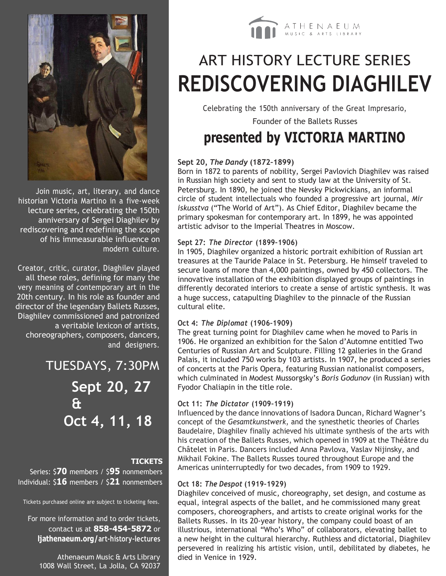

Join music, art, literary, and dance historian Victoria Martino in a five-week lecture series, celebrating the 150th anniversary of Sergei Diaghilev by rediscovering and redefining the scope of his immeasurable influence on modern culture.

Creator, critic, curator, Diaghilev played all these roles, defining for many the very meaning of contemporary art in the 20th century. In his role as founder and director of the legendary Ballets Russes, Diaghilev commissioned and patronized a veritable lexicon of artists, choreographers, composers, dancers, and designers.

> TUESDAYS, 7:30PM **Sept 20, 27 & Oct 4, 11, 18**

#### **TICKETS**

Series: \$**70** members / \$**95** nonmembers Individual: \$**16** members / \$**21** nonmembers

Tickets purchased online are subject to ticketing fees.

For more information and to order tickets, contact us at **858-454-5872** or **ljathenaeum.org/art-history-lectures**

Athenaeum Music & Arts Library 1008 Wall Street, La Jolla, CA 92037



### ART HISTORY LECTURE SERIES **REDISCOVERING DIAGHILEV**

Celebrating the 150th anniversary of the Great Impresario,

Founder of the Ballets Russes

### **presented by VICTORIA MARTINO**

#### **Sept 20***, The Dandy* **(1872–1899)**

Born in 1872 to parents of nobility, Sergei Pavlovich Diaghilev was raised in Russian high society and sent to study law at the University of St. Petersburg. In 1890, he joined the Nevsky Pickwickians, an informal circle of student intellectuals who founded a progressive art journal, *Mir iskusstva* ("The World of Art"). As Chief Editor, Diaghilev became the primary spokesman for contemporary art. In 1899, he was appointed artistic advisor to the Imperial Theatres in Moscow.

#### **Sept 27:** *The Director* **(1899–1906)**

In 1905, Diaghilev organized a historic portrait exhibition of Russian art treasures at the Tauride Palace in St. Petersburg. He himself traveled to secure loans of more than 4,000 paintings, owned by 450 collectors. The innovative installation of the exhibition displayed groups of paintings in differently decorated interiors to create a sense of artistic synthesis. It was a huge success, catapulting Diaghilev to the pinnacle of the Russian cultural elite.

#### **Oct 4:** *The Diplomat* **(1906–1909)**

The great turning point for Diaghilev came when he moved to Paris in 1906. He organized an exhibition for the Salon d'Automne entitled Two Centuries of Russian Art and Sculpture. Filling 12 galleries in the Grand Palais, it included 750 works by 103 artists. In 1907, he produced a series of concerts at the Paris Opera, featuring Russian nationalist composers, which culminated in Modest Mussorgsky's *Boris Godunov* (in Russian) with Fyodor Chaliapin in the title role.

#### **Oct 11:** *The Dictator* **(1909–1919)**

Influenced by the dance innovations of Isadora Duncan, Richard Wagner's concept of the *Gesamtkunstwerk*, and the synesthetic theories of Charles Baudelaire, Diaghilev finally achieved his ultimate synthesis of the arts with his creation of the Ballets Russes, which opened in 1909 at the Théâtre du Châtelet in Paris. Dancers included Anna Pavlova, Vaslav Nijinsky, and Mikhail Fokine. The Ballets Russes toured throughout Europe and the Americas uninterruptedly for two decades, from 1909 to 1929.

#### **Oct 18:** *The Despot* **(1919–1929)**

Diaghilev conceived of music, choreography, set design, and costume as equal, integral aspects of the ballet, and he commissioned many great composers, choreographers, and artists to create original works for the Ballets Russes. In its 20-year history, the company could boast of an illustrious, international "Who's Who" of collaborators, elevating ballet to a new height in the cultural hierarchy. Ruthless and dictatorial, Diaghilev persevered in realizing his artistic vision, until, debilitated by diabetes, he died in Venice in 1929.